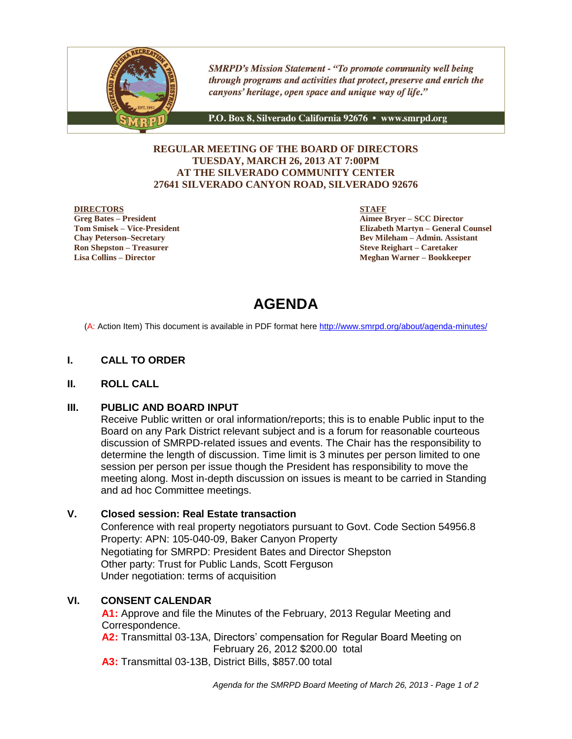

**SMRPD's Mission Statement - "To promote community well being** through programs and activities that protect, preserve and enrich the canyons' heritage, open space and unique way of life."

P.O. Box 8, Silverado California 92676 · www.smrpd.org

### **REGULAR MEETING OF THE BOARD OF DIRECTORS TUESDAY, MARCH 26, 2013 AT 7:00PM AT THE SILVERADO COMMUNITY CENTER 27641 SILVERADO CANYON ROAD, SILVERADO 92676**

### **DIRECTORS**

**Greg Bates – President Tom Smisek – Vice-President Chay Peterson–Secretary Ron Shepston – Treasurer Lisa Collins – Director**

**STAFF**

**Aimee Bryer – SCC Director Elizabeth Martyn – General Counsel Bev Mileham – Admin. Assistant Steve Reighart – Caretaker Meghan Warner – Bookkeeper**

# **AGENDA**

(A: Action Item) This document is available in PDF format here <http://www.smrpd.org/>about/agenda-minutes/

### **I. CALL TO ORDER**

### **II. ROLL CALL**

### **III. PUBLIC AND BOARD INPUT**

Receive Public written or oral information/reports; this is to enable Public input to the Board on any Park District relevant subject and is a forum for reasonable courteous discussion of SMRPD-related issues and events. The Chair has the responsibility to determine the length of discussion. Time limit is 3 minutes per person limited to one session per person per issue though the President has responsibility to move the meeting along. Most in-depth discussion on issues is meant to be carried in Standing and ad hoc Committee meetings.

### **V. Closed session: Real Estate transaction**

Conference with real property negotiators pursuant to Govt. Code Section 54956.8 Property: APN: 105-040-09, Baker Canyon Property Negotiating for SMRPD: President Bates and Director Shepston Other party: Trust for Public Lands, Scott Ferguson Under negotiation: terms of acquisition

### **VI. CONSENT CALENDAR**

**A1:** Approve and file the Minutes of the February, 2013 Regular Meeting and Correspondence.

**A2:** Transmittal 03-13A, Directors' compensation for Regular Board Meeting on February 26, 2012 \$200.00 total

**A3:** Transmittal 03-13B, District Bills, \$857.00 total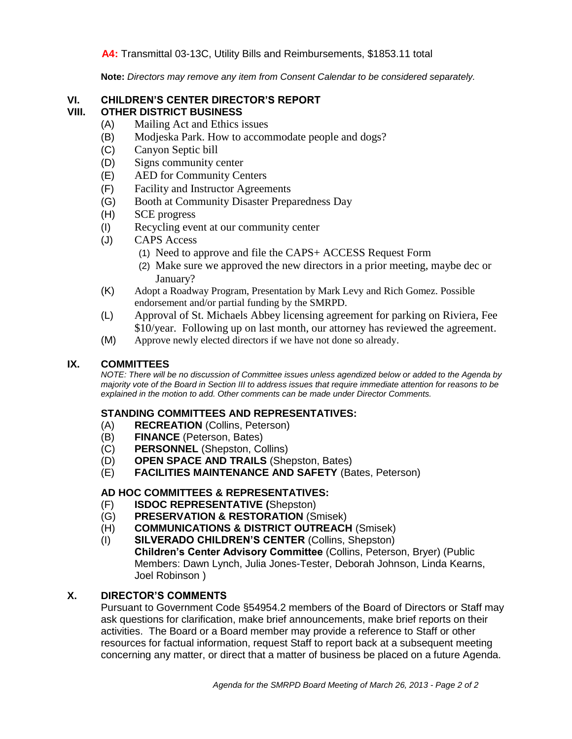### **A4:** Transmittal 03-13C, Utility Bills and Reimbursements, \$1853.11 total

**Note:** *Directors may remove any item from Consent Calendar to be considered separately.*

### **VI. CHILDREN'S CENTER DIRECTOR'S REPORT VIII. OTHER DISTRICT BUSINESS**

- (A) Mailing Act and Ethics issues
- (B) Modjeska Park. How to accommodate people and dogs?
- (C) Canyon Septic bill
- (D) Signs community center
- (E) AED for Community Centers
- (F) Facility and Instructor Agreements
- (G) Booth at Community Disaster Preparedness Day
- (H) SCE progress
- (I) Recycling event at our community center
- (J) CAPS Access
	- (1) Need to approve and file the CAPS+ ACCESS Request Form
	- (2) Make sure we approved the new directors in a prior meeting, maybe dec or January?
- (K) Adopt a Roadway Program, Presentation by Mark Levy and Rich Gomez. Possible endorsement and/or partial funding by the SMRPD.
- (L) Approval of St. Michaels Abbey licensing agreement for parking on Riviera, Fee \$10/year. Following up on last month, our attorney has reviewed the agreement.
- (M) Approve newly elected directors if we have not done so already.

### **IX. COMMITTEES**

*NOTE: There will be no discussion of Committee issues unless agendized below or added to the Agenda by majority vote of the Board in Section III to address issues that require immediate attention for reasons to be explained in the motion to add. Other comments can be made under Director Comments.*

### **STANDING COMMITTEES AND REPRESENTATIVES:**

- (A) **RECREATION** (Collins, Peterson)
- (B) **FINANCE** (Peterson, Bates)
- (C) **PERSONNEL** (Shepston, Collins)
- (D) **OPEN SPACE AND TRAILS** (Shepston, Bates)
- (E) **FACILITIES MAINTENANCE AND SAFETY** (Bates, Peterson)

### **AD HOC COMMITTEES & REPRESENTATIVES:**

- (F) **ISDOC REPRESENTATIVE (**Shepston)
- (G) **PRESERVATION & RESTORATION** (Smisek)
- (H) **COMMUNICATIONS & DISTRICT OUTREACH** (Smisek)
- (I) **SILVERADO CHILDREN'S CENTER** (Collins, Shepston) **Children's Center Advisory Committee** (Collins, Peterson, Bryer) (Public Members: Dawn Lynch, Julia Jones-Tester, Deborah Johnson, Linda Kearns, Joel Robinson )

### **X. DIRECTOR'S COMMENTS**

Pursuant to Government Code §54954.2 members of the Board of Directors or Staff may ask questions for clarification, make brief announcements, make brief reports on their activities. The Board or a Board member may provide a reference to Staff or other resources for factual information, request Staff to report back at a subsequent meeting concerning any matter, or direct that a matter of business be placed on a future Agenda.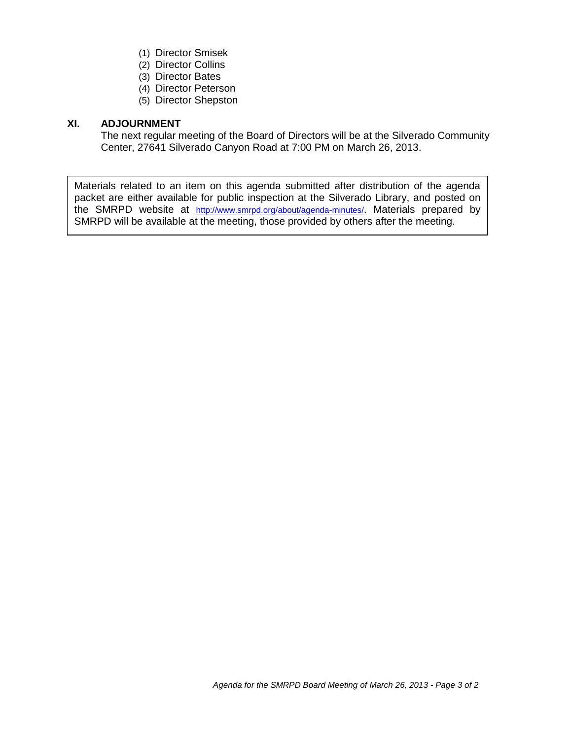- (1) Director Smisek
- (2) Director Collins
- (3) Director Bates
- (4) Director Peterson
- (5) Director Shepston

### **XI. ADJOURNMENT**

The next regular meeting of the Board of Directors will be at the Silverado Community Center, 27641 Silverado Canyon Road at 7:00 PM on March 26, 2013.

Materials related to an item on this agenda submitted after distribution of the agenda packet are either available for public inspection at the Silverado Library, and posted on the SMRPD website at <http://www.smrpd.org/>about/agenda-minutes/. Materials prepared by SMRPD will be available at the meeting, those provided by others after the meeting.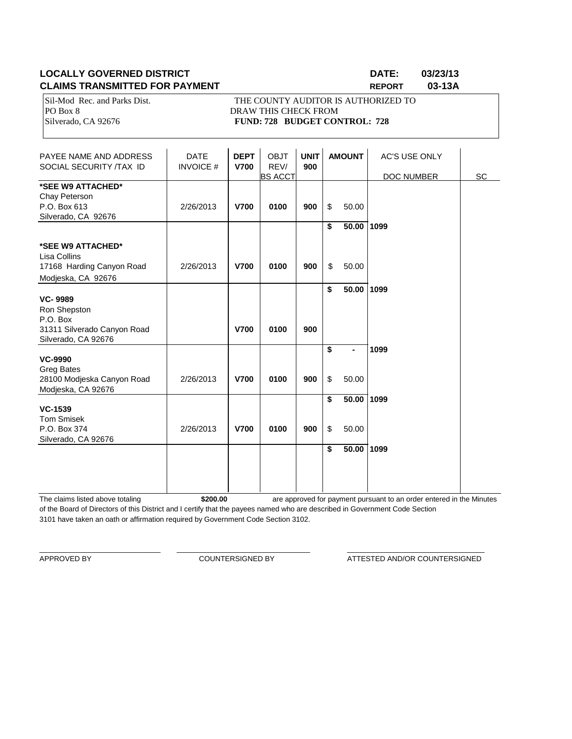### **LOCALLY GOVERNED DISTRICT DATE: 03/23/13 CLAIMS TRANSMITTED FOR PAYMENT REPORT 03-13A**

Sil-Mod Rec. and Parks Dist. THE COUNTY AUDITOR IS AUTHORIZED TO PO Box 8 DRAW THIS CHECK FROM Silverado, CA 92676 **FUND: 728 BUDGET CONTROL: 728** 

| PAYEE NAME AND ADDRESS<br>SOCIAL SECURITY /TAX ID                                                | <b>DATE</b><br><b>INVOICE#</b> | <b>DEPT</b><br><b>V700</b> | <b>OBJT</b><br>REV/<br><b>BS ACCT</b> | <b>UNIT</b><br>900 |                                            | <b>AMOUNT</b>  | <b>AC'S USE ONLY</b><br>DOC NUMBER | SC |
|--------------------------------------------------------------------------------------------------|--------------------------------|----------------------------|---------------------------------------|--------------------|--------------------------------------------|----------------|------------------------------------|----|
| *SEE W9 ATTACHED*<br>Chay Peterson<br>P.O. Box 613<br>Silverado, CA 92676                        | 2/26/2013                      | <b>V700</b>                | 0100                                  | 900                | \$                                         | 50.00          |                                    |    |
| *SEE W9 ATTACHED*<br>Lisa Collins<br>17168 Harding Canyon Road<br>Modjeska, CA 92676             | 2/26/2013                      | <b>V700</b>                | 0100                                  | 900                | \$<br>\$                                   | 50.00<br>50.00 | 1099                               |    |
| <b>VC-9989</b><br>Ron Shepston<br>P.O. Box<br>31311 Silverado Canyon Road<br>Silverado, CA 92676 |                                | <b>V700</b>                | 0100                                  | 900                | \$                                         | 50.00          | 1099                               |    |
| <b>VC-9990</b><br><b>Greg Bates</b><br>28100 Modjeska Canyon Road<br>Modjeska, CA 92676          | 2/26/2013                      | <b>V700</b>                | 0100                                  | 900                | $\overline{\boldsymbol{\mathsf{s}}}$<br>\$ | 50.00          | 1099                               |    |
| <b>VC-1539</b><br><b>Tom Smisek</b><br>P.O. Box 374<br>Silverado, CA 92676                       | 2/26/2013                      | <b>V700</b>                | 0100                                  | 900                | \$<br>\$                                   | 50.00<br>50.00 | 1099                               |    |
|                                                                                                  |                                |                            |                                       |                    | \$                                         | 50.00          | 1099                               |    |

The claims listed above totaling **\$200.00** of the Board of Directors of this District and I certify that the payees named who are described in Government Code Section 3101 have taken an oath or affirmation required by Government Code Section 3102. are approved for payment pursuant to an order entered in the Minutes

\_\_\_\_\_\_\_\_\_\_\_\_\_\_\_\_\_\_\_\_\_\_\_\_\_\_\_\_\_\_ \_\_\_\_\_\_\_\_\_\_\_\_\_\_\_\_\_\_\_\_\_\_\_\_\_\_\_\_\_\_\_\_\_ \_\_\_\_\_\_\_\_\_\_\_\_\_\_\_\_\_\_\_\_\_\_\_\_\_\_\_\_\_\_\_\_\_\_

APPROVED BY **COUNTERSIGNED BY COUNTERSIGNED BY ATTESTED AND/OR COUNTERSIGNED**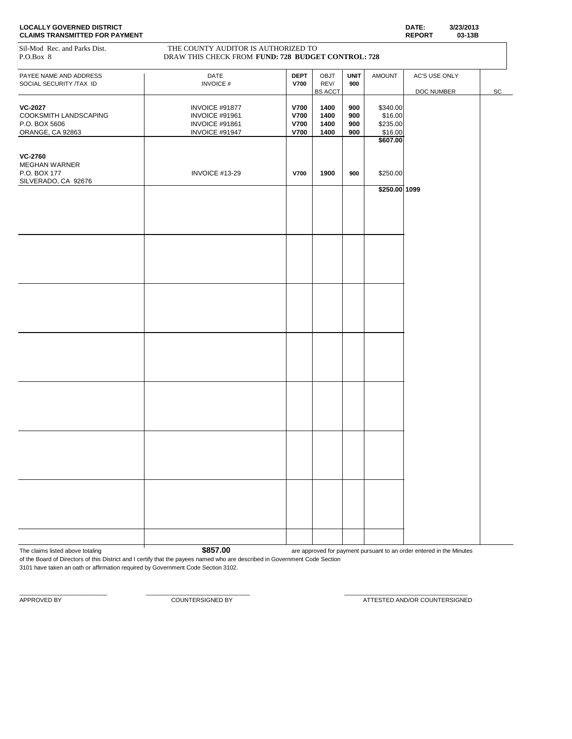| <b>LOCALLY GOVERNED DISTRICT</b>      | DATE:         | 3/23/2013 |
|---------------------------------------|---------------|-----------|
| <b>CLAIMS TRANSMITTED FOR PAYMENT</b> | <b>REPORT</b> | 03-13B    |

| <b>CLAIMS TRANSMITTED FOR PAYMENT</b>                                         |                                                                                           |                            |                                |                    |                                 | <b>REPORT</b><br>03-13B |                              |
|-------------------------------------------------------------------------------|-------------------------------------------------------------------------------------------|----------------------------|--------------------------------|--------------------|---------------------------------|-------------------------|------------------------------|
| Sil-Mod Rec. and Parks Dist.<br>P.O.Box 8                                     | THE COUNTY AUDITOR IS AUTHORIZED TO<br>DRAW THIS CHECK FROM FUND: 728 BUDGET CONTROL: 728 |                            |                                |                    |                                 |                         |                              |
| PAYEE NAME AND ADDRESS<br>SOCIAL SECURITY /TAX ID                             | DATE<br><b>INVOICE#</b>                                                                   | <b>DEPT</b><br><b>V700</b> | OBJT<br>REV/                   | <b>UNIT</b><br>900 | <b>AMOUNT</b>                   | AC'S USE ONLY           |                              |
| <b>VC-2027</b><br>COOKSMITH LANDSCAPING                                       | INVOICE #91877<br>INVOICE #91961                                                          | <b>V700</b><br><b>V700</b> | <b>BS ACCT</b><br>1400<br>1400 | 900<br>900         | \$340.00<br>\$16.00             | DOC NUMBER              | $\operatorname{\textsf{SC}}$ |
| P.O. BOX 5606<br>ORANGE, CA 92863                                             | INVOICE #91861<br>INVOICE #91947                                                          | <b>V700</b><br><b>V700</b> | 1400<br>1400                   | 900<br>900         | \$235.00<br>\$16.00<br>\$607.00 |                         |                              |
| <b>VC-2760</b><br><b>MEGHAN WARNER</b><br>P.O. BOX 177<br>SILVERADO, CA 92676 | INVOICE #13-29                                                                            | <b>V700</b>                | 1900                           | 900                | \$250.00                        |                         |                              |
|                                                                               |                                                                                           |                            |                                |                    | $$250.00$ 1099                  |                         |                              |
|                                                                               |                                                                                           |                            |                                |                    |                                 |                         |                              |
|                                                                               |                                                                                           |                            |                                |                    |                                 |                         |                              |
|                                                                               |                                                                                           |                            |                                |                    |                                 |                         |                              |
|                                                                               |                                                                                           |                            |                                |                    |                                 |                         |                              |
|                                                                               |                                                                                           |                            |                                |                    |                                 |                         |                              |
|                                                                               |                                                                                           |                            |                                |                    |                                 |                         |                              |
|                                                                               |                                                                                           |                            |                                |                    |                                 |                         |                              |
|                                                                               |                                                                                           |                            |                                |                    |                                 |                         |                              |
|                                                                               |                                                                                           |                            |                                |                    |                                 |                         |                              |
|                                                                               |                                                                                           |                            |                                |                    |                                 |                         |                              |
|                                                                               |                                                                                           |                            |                                |                    |                                 |                         |                              |
|                                                                               |                                                                                           |                            |                                |                    |                                 |                         |                              |

The claims listed above totaling **1 \$857.00** are approved for payment pursuant to an order entered in the Minutes of the Board of Directors of this District and I certify that the payees named who are described in Government Code Section

 $\_$  , and the set of the set of the set of the set of the set of the set of the set of the set of the set of the set of the set of the set of the set of the set of the set of the set of the set of the set of the set of th

3101 have taken an oath or affirmation required by Government Code Section 3102.

APPROVED BY COUNTERSIGNED BY COUNTERSIGNED BY ATTESTED AND/OR COUNTERSIGNED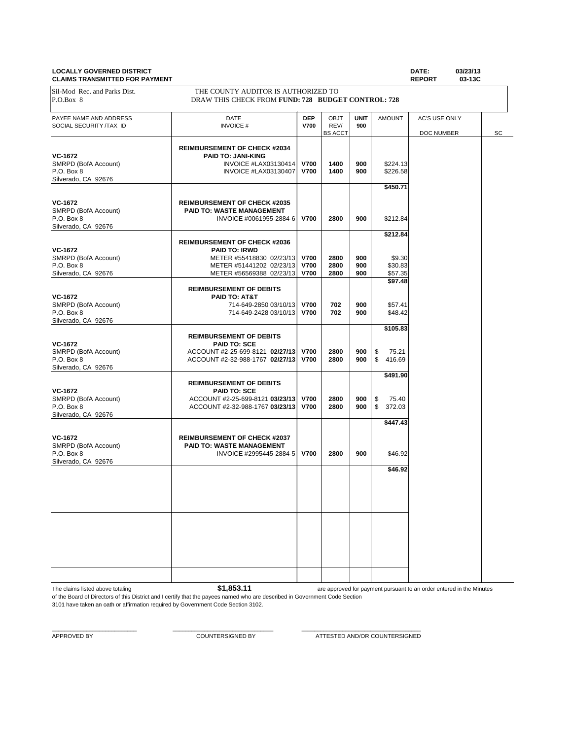## **CLAIMS TRANSMIT**

| <b>LOCALLY GOVERNED DISTRICT</b><br><b>CLAIMS TRANSMITTED FOR PAYMENT</b>   |                                                                                                                                                 |                                    |                                |                    |                                          | DATE:<br><b>REPORT</b>             | 03/23/13<br>03-13C |    |
|-----------------------------------------------------------------------------|-------------------------------------------------------------------------------------------------------------------------------------------------|------------------------------------|--------------------------------|--------------------|------------------------------------------|------------------------------------|--------------------|----|
| Sil-Mod Rec. and Parks Dist.<br>P.O.Box 8                                   | THE COUNTY AUDITOR IS AUTHORIZED TO<br>DRAW THIS CHECK FROM FUND: 728 BUDGET CONTROL: 728                                                       |                                    |                                |                    |                                          |                                    |                    |    |
| PAYEE NAME AND ADDRESS<br>SOCIAL SECURITY /TAX ID                           | <b>DATE</b><br><b>INVOICE#</b>                                                                                                                  | <b>DEP</b><br><b>V700</b>          | OBJT<br>REV/<br><b>BS ACCT</b> | <b>UNIT</b><br>900 | <b>AMOUNT</b>                            | <b>AC'S USE ONLY</b><br>DOC NUMBER |                    | SC |
| VC-1672<br>SMRPD (BofA Account)<br>P.O. Box 8<br>Silverado, CA 92676        | <b>REIMBURSEMENT OF CHECK #2034</b><br><b>PAID TO: JANI-KING</b><br><b>INVOICE #LAX03130414</b><br>INVOICE #LAX03130407                         | V700<br><b>V700</b>                | 1400<br>1400                   | 900<br>900         | \$224.13<br>\$226.58                     |                                    |                    |    |
| <b>VC-1672</b><br>SMRPD (BofA Account)<br>P.O. Box 8<br>Silverado, CA 92676 | <b>REIMBURSEMENT OF CHECK #2035</b><br><b>PAID TO: WASTE MANAGEMENT</b><br>INVOICE #0061955-2884-6                                              | <b>V700</b>                        | 2800                           | 900                | \$450.71<br>\$212.84                     |                                    |                    |    |
| <b>VC-1672</b><br>SMRPD (BofA Account)<br>P.O. Box 8<br>Silverado, CA 92676 | <b>REIMBURSEMENT OF CHECK #2036</b><br><b>PAID TO: IRWD</b><br>METER #55418830 02/23/13<br>METER #51441202 02/23/13<br>METER #56569388 02/23/13 | <b>V700</b><br>V700<br><b>V700</b> | 2800<br>2800<br>2800           | 900<br>900<br>900  | \$212.84<br>\$9.30<br>\$30.83<br>\$57.35 |                                    |                    |    |
| <b>VC-1672</b><br>SMRPD (BofA Account)<br>P.O. Box 8<br>Silverado, CA 92676 | <b>REIMBURSEMENT OF DEBITS</b><br>PAID TO: AT&T<br>714-649-2850 03/10/13<br>714-649-2428 03/10/13                                               | <b>V700</b><br><b>V700</b>         | 702<br>702                     | 900<br>900         | \$97.48<br>\$57.41<br>\$48.42            |                                    |                    |    |
| VC-1672<br>SMRPD (BofA Account)<br>P.O. Box 8<br>Silverado, CA 92676        | <b>REIMBURSEMENT OF DEBITS</b><br><b>PAID TO: SCE</b><br>ACCOUNT #2-25-699-8121 02/27/13<br>ACCOUNT #2-32-988-1767 02/27/13                     | <b>V700</b><br>V700                | 2800<br>2800                   | 900<br>900         | \$105.83<br>75.21<br>\$<br>\$<br>416.69  |                                    |                    |    |
| <b>VC-1672</b><br>SMRPD (BofA Account)<br>P.O. Box 8<br>Silverado, CA 92676 | <b>REIMBURSEMENT OF DEBITS</b><br><b>PAID TO: SCE</b><br>ACCOUNT #2-25-699-8121 03/23/13<br>ACCOUNT #2-32-988-1767 03/23/13                     | V700<br><b>V700</b>                | 2800<br>2800                   | 900<br>900         | \$491.90<br>\$<br>75.40<br>\$<br>372.03  |                                    |                    |    |
| <b>VC-1672</b><br>SMRPD (BofA Account)<br>P.O. Box 8<br>Silverado, CA 92676 | <b>REIMBURSEMENT OF CHECK #2037</b><br><b>PAID TO: WASTE MANAGEMENT</b><br>INVOICE #2995445-2884-5                                              | <b>V700</b>                        | 2800                           | 900                | \$447.43<br>\$46.92                      |                                    |                    |    |
|                                                                             |                                                                                                                                                 |                                    |                                |                    | \$46.92                                  |                                    |                    |    |

The claims listed above totaling **\$1,853.11** 

are approved for payment pursuant to an order entered in the Minutes

of the Board of Directors of this District and I certify that the payees named who are described in Government Code Section 3101 have taken an oath or affirmation required by Government Code Section 3102.

 $\_$  , and the set of the set of the set of the set of the set of the set of the set of the set of the set of the set of the set of the set of the set of the set of the set of the set of the set of the set of the set of th

APPROVED BY COUNTERSIGNED BY ATTESTED AND/OR COUNTERSIGNED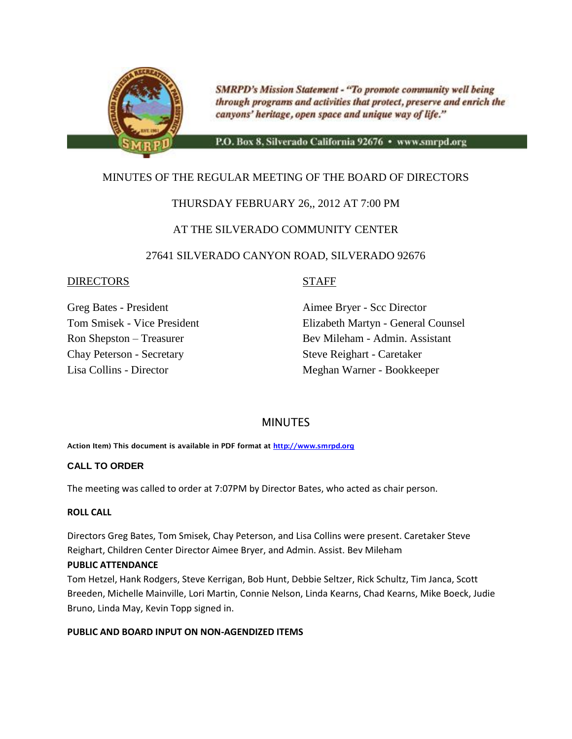

**SMRPD's Mission Statement - "To promote community well being** through programs and activities that protect, preserve and enrich the canyons' heritage, open space and unique way of life."

P.O. Box 8, Silverado California 92676 · www.smrpd.org

### MINUTES OF THE REGULAR MEETING OF THE BOARD OF DIRECTORS

### THURSDAY FEBRUARY 26,, 2012 AT 7:00 PM

### AT THE SILVERADO COMMUNITY CENTER

### 27641 SILVERADO CANYON ROAD, SILVERADO 92676

### DIRECTORS STAFF

Chay Peterson - Secretary Steve Reighart - Caretaker

Greg Bates - President Aimee Bryer - Scc Director Tom Smisek - Vice President Elizabeth Martyn - General Counsel Ron Shepston – Treasurer Bev Mileham - Admin. Assistant Lisa Collins - Director Meghan Warner - Bookkeeper

### **MINUTES**

**Action Item) This document is available in PDF format at [http://www.smrpd.org](http://www.smrpd.org/)**

### **CALL TO ORDER**

The meeting was called to order at 7:07PM by Director Bates, who acted as chair person.

### **ROLL CALL**

Directors Greg Bates, Tom Smisek, Chay Peterson, and Lisa Collins were present. Caretaker Steve Reighart, Children Center Director Aimee Bryer, and Admin. Assist. Bev Mileham

### **PUBLIC ATTENDANCE**

Tom Hetzel, Hank Rodgers, Steve Kerrigan, Bob Hunt, Debbie Seltzer, Rick Schultz, Tim Janca, Scott Breeden, Michelle Mainville, Lori Martin, Connie Nelson, Linda Kearns, Chad Kearns, Mike Boeck, Judie Bruno, Linda May, Kevin Topp signed in.

### **PUBLIC AND BOARD INPUT ON NON-AGENDIZED ITEMS**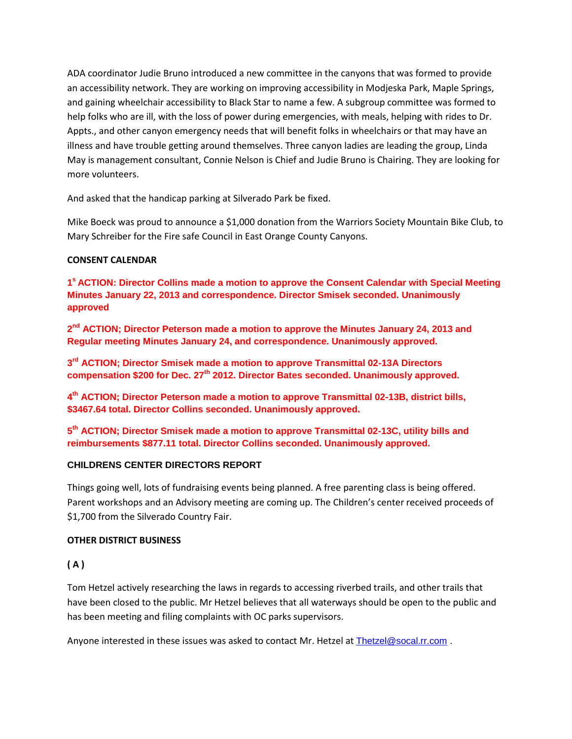ADA coordinator Judie Bruno introduced a new committee in the canyons that was formed to provide an accessibility network. They are working on improving accessibility in Modjeska Park, Maple Springs, and gaining wheelchair accessibility to Black Star to name a few. A subgroup committee was formed to help folks who are ill, with the loss of power during emergencies, with meals, helping with rides to Dr. Appts., and other canyon emergency needs that will benefit folks in wheelchairs or that may have an illness and have trouble getting around themselves. Three canyon ladies are leading the group, Linda May is management consultant, Connie Nelson is Chief and Judie Bruno is Chairing. They are looking for more volunteers.

And asked that the handicap parking at Silverado Park be fixed.

Mike Boeck was proud to announce a \$1,000 donation from the Warriors Society Mountain Bike Club, to Mary Schreiber for the Fire safe Council in East Orange County Canyons.

### **CONSENT CALENDAR**

**1 <sup>s</sup>ACTION: Director Collins made a motion to approve the Consent Calendar with Special Meeting Minutes January 22, 2013 and correspondence. Director Smisek seconded. Unanimously approved**

2<sup>nd</sup> ACTION; Director Peterson made a motion to approve the Minutes January 24, 2013 and **Regular meeting Minutes January 24, and correspondence. Unanimously approved.**

**3 rd ACTION; Director Smisek made a motion to approve Transmittal 02-13A Directors compensation \$200 for Dec. 27th 2012. Director Bates seconded. Unanimously approved.**

**4 th ACTION; Director Peterson made a motion to approve Transmittal 02-13B, district bills, \$3467.64 total. Director Collins seconded. Unanimously approved.**

**5 th ACTION; Director Smisek made a motion to approve Transmittal 02-13C, utility bills and reimbursements \$877.11 total. Director Collins seconded. Unanimously approved.**

### **CHILDRENS CENTER DIRECTORS REPORT**

Things going well, lots of fundraising events being planned. A free parenting class is being offered. Parent workshops and an Advisory meeting are coming up. The Children's center received proceeds of \$1,700 from the Silverado Country Fair.

### **OTHER DISTRICT BUSINESS**

### **( A )**

Tom Hetzel actively researching the laws in regards to accessing riverbed trails, and other trails that have been closed to the public. Mr Hetzel believes that all waterways should be open to the public and has been meeting and filing complaints with OC parks supervisors.

Anyone interested in these issues was asked to contact Mr. Hetzel at [Thetzel@socal.rr.com](mailto:Thetzel@socal.rr.com).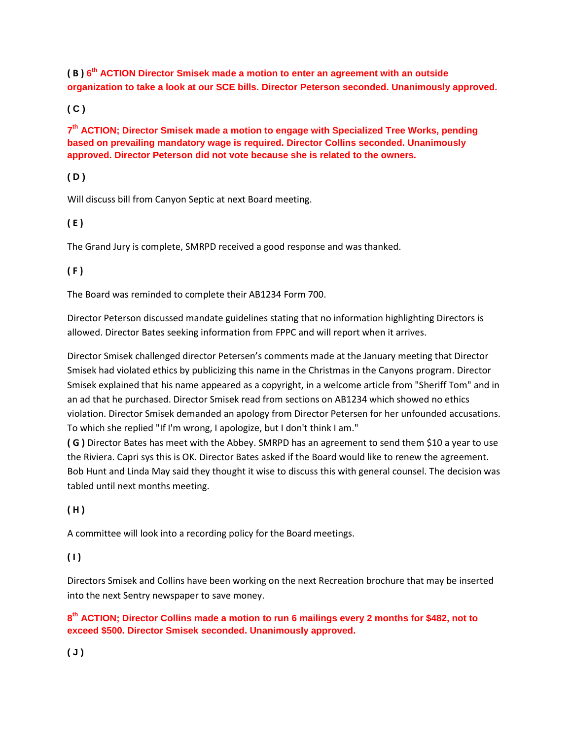**( B ) 6 th ACTION Director Smisek made a motion to enter an agreement with an outside organization to take a look at our SCE bills. Director Peterson seconded. Unanimously approved.** 

**( C )** 

**7 th ACTION; Director Smisek made a motion to engage with Specialized Tree Works, pending based on prevailing mandatory wage is required. Director Collins seconded. Unanimously approved. Director Peterson did not vote because she is related to the owners.**

**( D )** 

Will discuss bill from Canyon Septic at next Board meeting.

**( E )** 

The Grand Jury is complete, SMRPD received a good response and was thanked.

**( F )** 

The Board was reminded to complete their AB1234 Form 700.

Director Peterson discussed mandate guidelines stating that no information highlighting Directors is allowed. Director Bates seeking information from FPPC and will report when it arrives.

Director Smisek challenged director Petersen's comments made at the January meeting that Director Smisek had violated ethics by publicizing this name in the Christmas in the Canyons program. Director Smisek explained that his name appeared as a copyright, in a welcome article from "Sheriff Tom" and in an ad that he purchased. Director Smisek read from sections on AB1234 which showed no ethics violation. Director Smisek demanded an apology from Director Petersen for her unfounded accusations. To which she replied "If I'm wrong, I apologize, but I don't think I am."

**( G )** Director Bates has meet with the Abbey. SMRPD has an agreement to send them \$10 a year to use the Riviera. Capri sys this is OK. Director Bates asked if the Board would like to renew the agreement. Bob Hunt and Linda May said they thought it wise to discuss this with general counsel. The decision was tabled until next months meeting.

### **( H )**

A committee will look into a recording policy for the Board meetings.

**( I )** 

Directors Smisek and Collins have been working on the next Recreation brochure that may be inserted into the next Sentry newspaper to save money.

### **8 th ACTION; Director Collins made a motion to run 6 mailings every 2 months for \$482, not to exceed \$500. Director Smisek seconded. Unanimously approved.**

**( J )**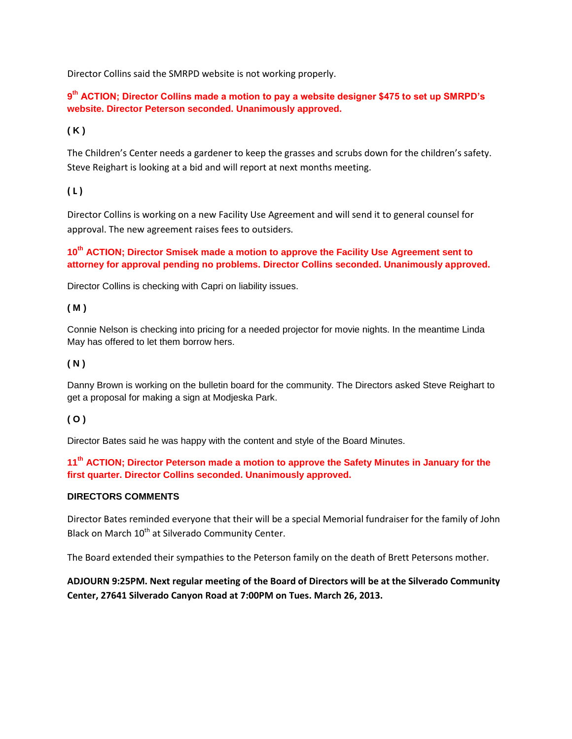Director Collins said the SMRPD website is not working properly.

**9 th ACTION; Director Collins made a motion to pay a website designer \$475 to set up SMRPD's website. Director Peterson seconded. Unanimously approved.**

### **( K )**

The Children's Center needs a gardener to keep the grasses and scrubs down for the children's safety. Steve Reighart is looking at a bid and will report at next months meeting.

### **( L )**

Director Collins is working on a new Facility Use Agreement and will send it to general counsel for approval. The new agreement raises fees to outsiders.

### **10th ACTION; Director Smisek made a motion to approve the Facility Use Agreement sent to attorney for approval pending no problems. Director Collins seconded. Unanimously approved.**

Director Collins is checking with Capri on liability issues.

### **( M )**

Connie Nelson is checking into pricing for a needed projector for movie nights. In the meantime Linda May has offered to let them borrow hers.

### **( N )**

Danny Brown is working on the bulletin board for the community. The Directors asked Steve Reighart to get a proposal for making a sign at Modjeska Park.

### **( O )**

Director Bates said he was happy with the content and style of the Board Minutes.

**11th ACTION; Director Peterson made a motion to approve the Safety Minutes in January for the first quarter. Director Collins seconded. Unanimously approved.**

### **DIRECTORS COMMENTS**

Director Bates reminded everyone that their will be a special Memorial fundraiser for the family of John Black on March 10<sup>th</sup> at Silverado Community Center.

The Board extended their sympathies to the Peterson family on the death of Brett Petersons mother.

### **ADJOURN 9:25PM. Next regular meeting of the Board of Directors will be at the Silverado Community Center, 27641 Silverado Canyon Road at 7:00PM on Tues. March 26, 2013.**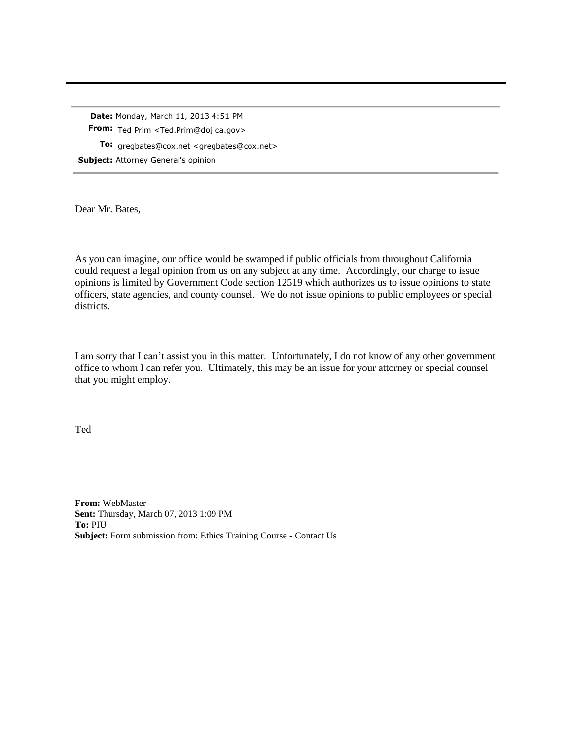**Date:** Monday, March 11, 2013 4:51 PM **From:** Ted Prim <Ted.Prim@doj.ca.gov> **To:** gregbates@cox.net <gregbates@cox.net> **Subject:** Attorney General's opinion

Dear Mr. Bates,

As you can imagine, our office would be swamped if public officials from throughout California could request a legal opinion from us on any subject at any time. Accordingly, our charge to issue opinions is limited by Government Code section 12519 which authorizes us to issue opinions to state officers, state agencies, and county counsel. We do not issue opinions to public employees or special districts.

I am sorry that I can't assist you in this matter. Unfortunately, I do not know of any other government office to whom I can refer you. Ultimately, this may be an issue for your attorney or special counsel that you might employ.

Ted

**From:** WebMaster **Sent:** Thursday, March 07, 2013 1:09 PM **To:** PIU **Subject:** Form submission from: Ethics Training Course - Contact Us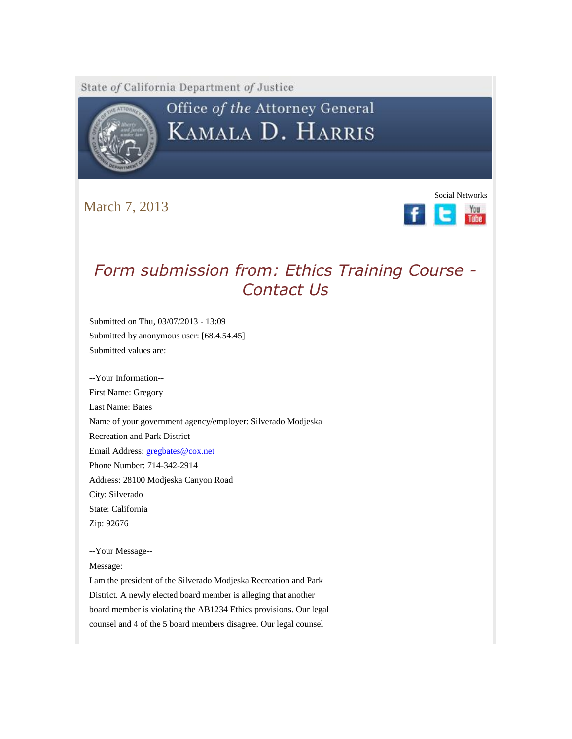State of California Department of Justice



# Office of the Attorney General KAMALA D. HARRIS

March 7, 2013



# *Form submission from: Ethics Training Course - Contact Us*

Submitted on Thu, 03/07/2013 - 13:09 Submitted by anonymous user: [68.4.54.45] Submitted values are:

--Your Information-- First Name: Gregory Last Name: Bates Name of your government agency/employer: Silverado Modjeska Recreation and Park District Email Address: [gregbates@cox.net](https://webmail.east.cox.net/do/mail/message/mailto?to=gregbates%40cox.net) Phone Number: 714-342-2914 Address: 28100 Modjeska Canyon Road City: Silverado State: California Zip: 92676

--Your Message--

Message:

I am the president of the Silverado Modjeska Recreation and Park District. A newly elected board member is alleging that another board member is violating the AB1234 Ethics provisions. Our legal counsel and 4 of the 5 board members disagree. Our legal counsel